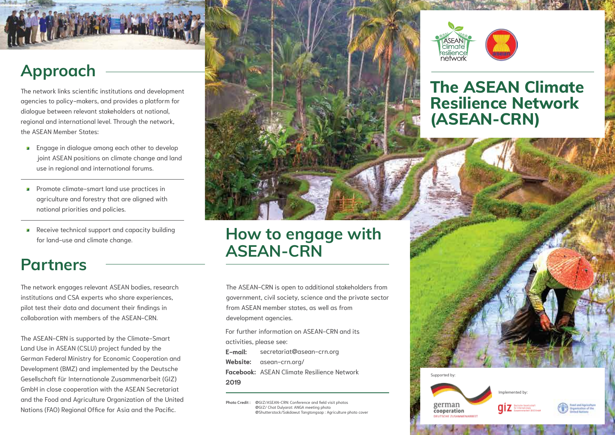

The network links scientific institutions and development agencies to policy-makers, and provides a platform for dialogue between relevant stakeholders at national, regional and international level. Through the network, the ASEAN Member States:

- **Engage in dialogue among each other to develop** joint ASEAN positions on climate change and land use in regional and international forums.
- **Promote climate-smart land use practices in** agriculture and forestry that are aligned with national priorities and policies.
- Receive technical support and capacity building for land-use and climate change.

#### **Partners**

The network engages relevant ASEAN bodies, research institutions and CSA experts who share experiences, pilot test their data and document their findings in collaboration with members of the ASEAN-CRN.

The ASEAN-CRN is supported by the Climate-Smart Land Use in ASEAN (CSLU) project funded by the German Federal Ministry for Economic Cooperation and Development (BMZ) and implemented by the Deutsche Gesellschaft für Internationale Zusammenarbeit (GIZ) GmbH in close cooperation with the ASEAN Secretariat and the Food and Agriculture Organization of the United Nations (FAO) Regional Office for Asia and the Pacific.



### **How to engage with ASEAN-CRN**

The ASEAN-CRN is open to additional stakeholders from government, civil society, science and the private sector from ASEAN member states, as well as from development agencies.

For further information on ASEAN-CRN and its activities, please see:

**E-mail: Website:** asean-crn.org/ **Facebook:** ASEAN Climate Resilience Network**2019** secretariat@asean-crn.org

**Photo Credit :** @GIZ/ASEAN-CRN: Conference and field visit photos @GIZ/ Chat Dulyarat: ANGA meeting photo @Shutterstock/Sakdawut Tangtongsap : Agriculture photo cover



#### **The ASEAN Climate Resilience Network (ASEAN-CRN)**